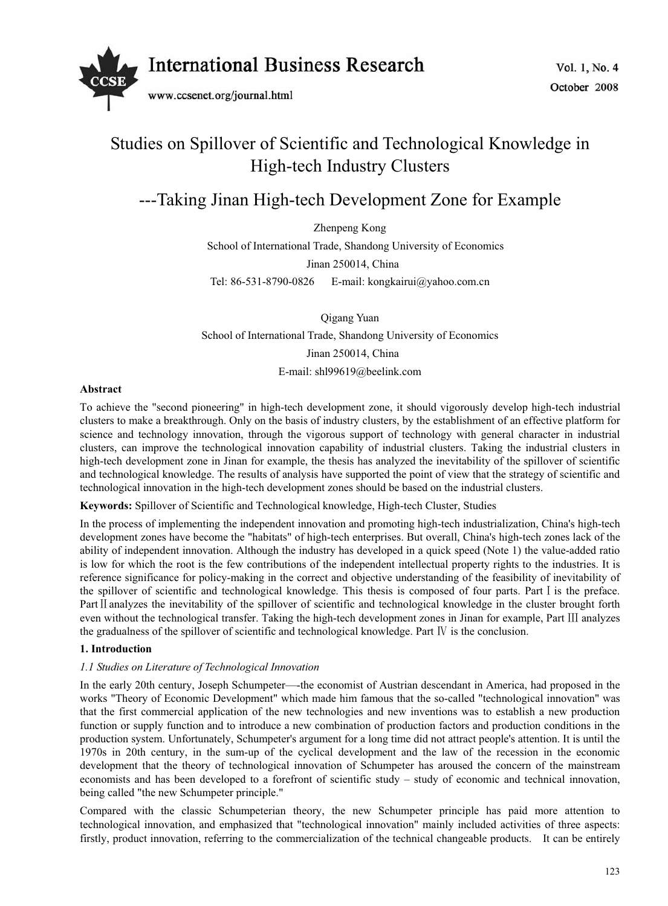

# Studies on Spillover of Scientific and Technological Knowledge in High-tech Industry Clusters

## ---Taking Jinan High-tech Development Zone for Example

Zhenpeng Kong School of International Trade, Shandong University of Economics Jinan 250014, China Tel: 86-531-8790-0826 E-mail: kongkairui@yahoo.com.cn

Qigang Yuan School of International Trade, Shandong University of Economics Jinan 250014, China

E-mail: shl99619@beelink.com

### **Abstract**

To achieve the "second pioneering" in high-tech development zone, it should vigorously develop high-tech industrial clusters to make a breakthrough. Only on the basis of industry clusters, by the establishment of an effective platform for science and technology innovation, through the vigorous support of technology with general character in industrial clusters, can improve the technological innovation capability of industrial clusters. Taking the industrial clusters in high-tech development zone in Jinan for example, the thesis has analyzed the inevitability of the spillover of scientific and technological knowledge. The results of analysis have supported the point of view that the strategy of scientific and technological innovation in the high-tech development zones should be based on the industrial clusters.

**Keywords:** Spillover of Scientific and Technological knowledge, High-tech Cluster, Studies

In the process of implementing the independent innovation and promoting high-tech industrialization, China's high-tech development zones have become the "habitats" of high-tech enterprises. But overall, China's high-tech zones lack of the ability of independent innovation. Although the industry has developed in a quick speed (Note 1) the value-added ratio is low for which the root is the few contributions of the independent intellectual property rights to the industries. It is reference significance for policy-making in the correct and objective understanding of the feasibility of inevitability of the spillover of scientific and technological knowledge. This thesis is composed of four parts. Part I is the preface. Part II analyzes the inevitability of the spillover of scientific and technological knowledge in the cluster brought forth even without the technological transfer. Taking the high-tech development zones in Jinan for example, Part III analyzes the gradualness of the spillover of scientific and technological knowledge. Part  $\bar{N}$  is the conclusion.

## **1. Introduction**

### *1.1 Studies on Literature of Technological Innovation*

In the early 20th century, Joseph Schumpeter—-the economist of Austrian descendant in America, had proposed in the works "Theory of Economic Development" which made him famous that the so-called "technological innovation" was that the first commercial application of the new technologies and new inventions was to establish a new production function or supply function and to introduce a new combination of production factors and production conditions in the production system. Unfortunately, Schumpeter's argument for a long time did not attract people's attention. It is until the 1970s in 20th century, in the sum-up of the cyclical development and the law of the recession in the economic development that the theory of technological innovation of Schumpeter has aroused the concern of the mainstream economists and has been developed to a forefront of scientific study – study of economic and technical innovation, being called "the new Schumpeter principle."

Compared with the classic Schumpeterian theory, the new Schumpeter principle has paid more attention to technological innovation, and emphasized that "technological innovation" mainly included activities of three aspects: firstly, product innovation, referring to the commercialization of the technical changeable products. It can be entirely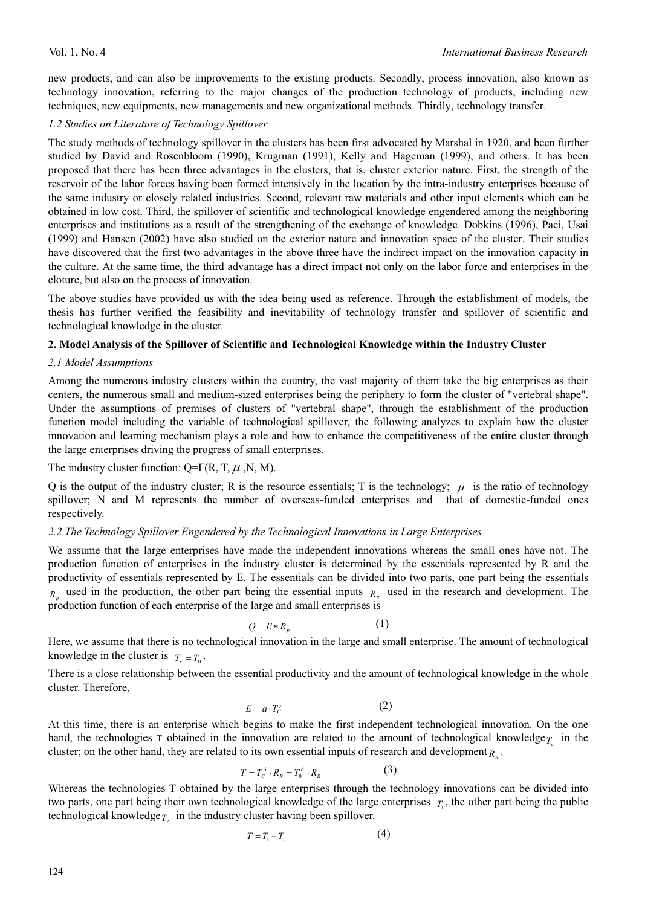new products, and can also be improvements to the existing products. Secondly, process innovation, also known as technology innovation, referring to the major changes of the production technology of products, including new techniques, new equipments, new managements and new organizational methods. Thirdly, technology transfer.

#### *1.2 Studies on Literature of Technology Spillover*

The study methods of technology spillover in the clusters has been first advocated by Marshal in 1920, and been further studied by David and Rosenbloom (1990), Krugman (1991), Kelly and Hageman (1999), and others. It has been proposed that there has been three advantages in the clusters, that is, cluster exterior nature. First, the strength of the reservoir of the labor forces having been formed intensively in the location by the intra-industry enterprises because of the same industry or closely related industries. Second, relevant raw materials and other input elements which can be obtained in low cost. Third, the spillover of scientific and technological knowledge engendered among the neighboring enterprises and institutions as a result of the strengthening of the exchange of knowledge. Dobkins (1996), Paci, Usai (1999) and Hansen (2002) have also studied on the exterior nature and innovation space of the cluster. Their studies have discovered that the first two advantages in the above three have the indirect impact on the innovation capacity in the culture. At the same time, the third advantage has a direct impact not only on the labor force and enterprises in the cloture, but also on the process of innovation.

The above studies have provided us with the idea being used as reference. Through the establishment of models, the thesis has further verified the feasibility and inevitability of technology transfer and spillover of scientific and technological knowledge in the cluster.

#### **2. Model Analysis of the Spillover of Scientific and Technological Knowledge within the Industry Cluster**

#### *2.1 Model Assumptions*

Among the numerous industry clusters within the country, the vast majority of them take the big enterprises as their centers, the numerous small and medium-sized enterprises being the periphery to form the cluster of "vertebral shape". Under the assumptions of premises of clusters of "vertebral shape", through the establishment of the production function model including the variable of technological spillover, the following analyzes to explain how the cluster innovation and learning mechanism plays a role and how to enhance the competitiveness of the entire cluster through the large enterprises driving the progress of small enterprises.

### The industry cluster function:  $Q = F(R, T, \mu, N, M)$ .

Q is the output of the industry cluster; R is the resource essentials; T is the technology;  $\mu$  is the ratio of technology spillover; N and M represents the number of overseas-funded enterprises and that of domestic-funded ones respectively.

#### *2.2 The Technology Spillover Engendered by the Technological Innovations in Large Enterprises*

We assume that the large enterprises have made the independent innovations whereas the small ones have not. The production function of enterprises in the industry cluster is determined by the essentials represented by R and the productivity of essentials represented by E. The essentials can be divided into two parts, one part being the essentials  $R_p$  used in the production, the other part being the essential inputs  $R_R$  used in the research and development. The production function of each enterprise of the large and small enterprises is

$$
Q = E * R_p \tag{1}
$$

Here, we assume that there is no technological innovation in the large and small enterprise. The amount of technological knowledge in the cluster is  $T_c = T_0$ .

There is a close relationship between the essential productivity and the amount of technological knowledge in the whole cluster. Therefore,

$$
E = a \cdot T_c^{\prime} \tag{2}
$$

At this time, there is an enterprise which begins to make the first independent technological innovation. On the one hand, the technologies T obtained in the innovation are related to the amount of technological knowledge $\tau$  in the cluster; on the other hand, they are related to its own essential inputs of research and development  $R<sub>n</sub>$ .

$$
T = T_c^{\delta} \cdot R_R = T_0^{\delta} \cdot R_R \tag{3}
$$

Whereas the technologies T obtained by the large enterprises through the technology innovations can be divided into two parts, one part being their own technological knowledge of the large enterprises  $T_1$ , the other part being the public technological knowledge $T_2$  in the industry cluster having been spillover.

$$
T = T_1 + T_2 \tag{4}
$$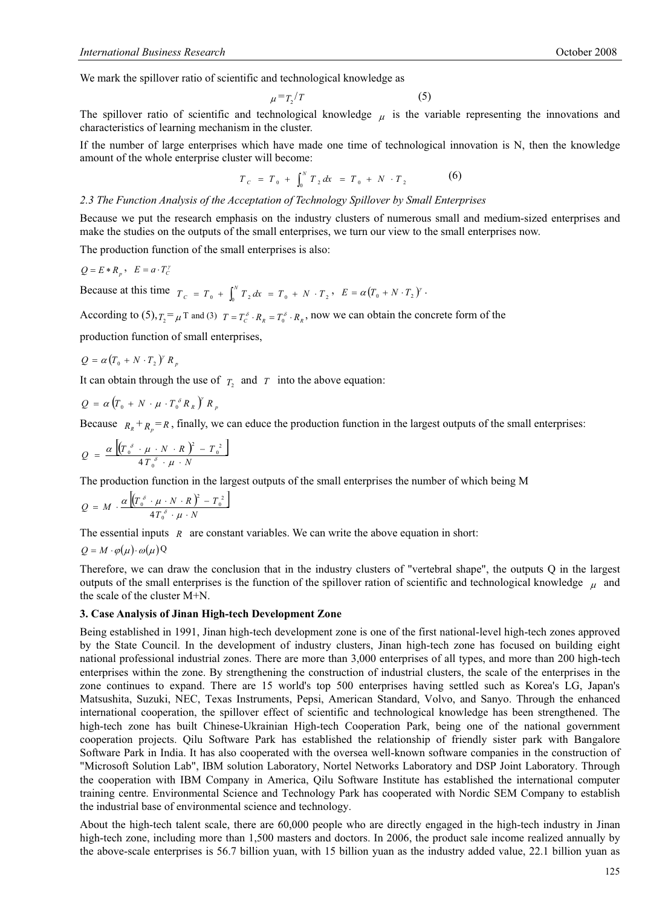We mark the spillover ratio of scientific and technological knowledge as

$$
\mu = T_2/T \tag{5}
$$

The spillover ratio of scientific and technological knowledge  $\mu$  is the variable representing the innovations and characteristics of learning mechanism in the cluster.

If the number of large enterprises which have made one time of technological innovation is N, then the knowledge amount of the whole enterprise cluster will become:

$$
T_c = T_0 + \int_0^N T_2 dx = T_0 + N \cdot T_2 \tag{6}
$$

#### *2.3 The Function Analysis of the Acceptation of Technology Spillover by Small Enterprises*

Because we put the research emphasis on the industry clusters of numerous small and medium-sized enterprises and make the studies on the outputs of the small enterprises, we turn our view to the small enterprises now.

The production function of the small enterprises is also:

$$
Q = E * R_p, \quad E = a \cdot T_c^{\gamma}
$$

Because at this time  $T_c = T_0 + \int_0^N T_2 dx = T_0 + N \cdot T_2$ ,  $E = \alpha (T_0 + N \cdot T_2)^{\gamma}$ .

According to  $(5)$ ,  $T_2 = \mu^T$  and  $(3)$   $T = T_c^{\delta} \cdot R_R = T_0^{\delta} \cdot R_R$ , now we can obtain the concrete form of the

production function of small enterprises,

 $Q = \alpha (T_{0} + N \cdot T_{2})^{\gamma} R_{p}$ 

It can obtain through the use of  $T<sub>2</sub>$  and  $T<sub>1</sub>$  into the above equation:

$$
Q = \alpha \left( T_0 + N \cdot \mu \cdot T_0^{\delta} R_R \right)^r R_p
$$

Because  $R_R + R_p = R$ , finally, we can educe the production function in the largest outputs of the small enterprises:

$$
Q = \frac{\alpha \left[ \left( T_0^{\delta} \cdot \mu \cdot N \cdot R \right)^2 - T_0^2 \right]}{4 T_0^{\delta} \cdot \mu \cdot N}
$$

The production function in the largest outputs of the small enterprises the number of which being M

$$
Q = M \cdot \frac{\alpha \left[ (T_0^{\delta} \cdot \mu \cdot N \cdot R)^2 - T_0^2 \right]}{4 T_0^{\delta} \cdot \mu \cdot N}
$$

The essential inputs *R* are constant variables. We can write the above equation in short:

$$
Q = M \cdot \varphi(\mu) \cdot \omega(\mu) Q
$$

Therefore, we can draw the conclusion that in the industry clusters of "vertebral shape", the outputs Q in the largest outputs of the small enterprises is the function of the spillover ration of scientific and technological knowledge  $\mu$  and the scale of the cluster M+N.

#### **3. Case Analysis of Jinan High-tech Development Zone**

Being established in 1991, Jinan high-tech development zone is one of the first national-level high-tech zones approved by the State Council. In the development of industry clusters, Jinan high-tech zone has focused on building eight national professional industrial zones. There are more than 3,000 enterprises of all types, and more than 200 high-tech enterprises within the zone. By strengthening the construction of industrial clusters, the scale of the enterprises in the zone continues to expand. There are 15 world's top 500 enterprises having settled such as Korea's LG, Japan's Matsushita, Suzuki, NEC, Texas Instruments, Pepsi, American Standard, Volvo, and Sanyo. Through the enhanced international cooperation, the spillover effect of scientific and technological knowledge has been strengthened. The high-tech zone has built Chinese-Ukrainian High-tech Cooperation Park, being one of the national government cooperation projects. Qilu Software Park has established the relationship of friendly sister park with Bangalore Software Park in India. It has also cooperated with the oversea well-known software companies in the construction of "Microsoft Solution Lab", IBM solution Laboratory, Nortel Networks Laboratory and DSP Joint Laboratory. Through the cooperation with IBM Company in America, Qilu Software Institute has established the international computer training centre. Environmental Science and Technology Park has cooperated with Nordic SEM Company to establish the industrial base of environmental science and technology.

About the high-tech talent scale, there are 60,000 people who are directly engaged in the high-tech industry in Jinan high-tech zone, including more than 1,500 masters and doctors. In 2006, the product sale income realized annually by the above-scale enterprises is 56.7 billion yuan, with 15 billion yuan as the industry added value, 22.1 billion yuan as